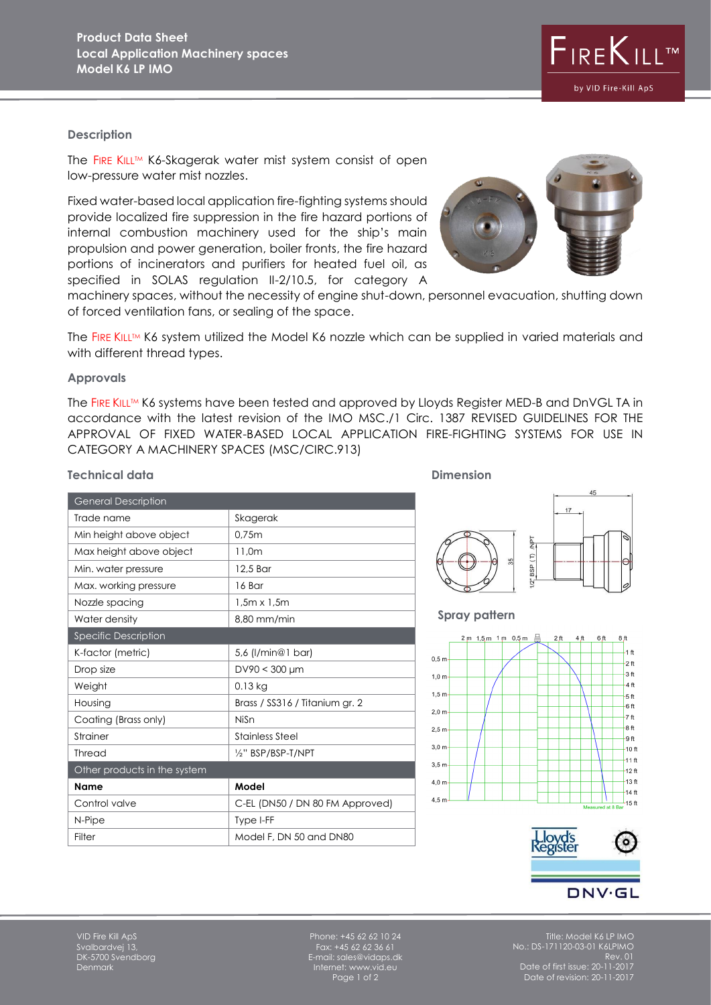# **Description**

The FIRE KILL™ K6-Skagerak water mist system consist of open low-pressure water mist nozzles.

Fixed water-based local application fire-fighting systems should provide localized fire suppression in the fire hazard portions of internal combustion machinery used for the ship's main propulsion and power generation, boiler fronts, the fire hazard portions of incinerators and purifiers for heated fuel oil, as specified in SOLAS regulation II-2/10.5, for category A

machinery spaces, without the necessity of engine shut-down, personnel evacuation, shutting down of forced ventilation fans, or sealing of the space.

The FIRE KILLTM K6 system utilized the Model K6 nozzle which can be supplied in varied materials and with different thread types.

## **Approvals**

The FIRE KILL™ K6 systems have been tested and approved by Lloyds Register MED-B and DnVGL TA in accordance with the latest revision of the IMO MSC./1 Circ. 1387 REVISED GUIDELINES FOR THE APPROVAL OF FIXED WATER-BASED LOCAL APPLICATION FIRE-FIGHTING SYSTEMS FOR USE IN CATEGORY A MACHINERY SPACES (MSC/CIRC.913)

| <b>General Description</b>   |                                 |
|------------------------------|---------------------------------|
| Trade name                   | Skagerak                        |
| Min height above object      | 0,75m                           |
| Max height above object      | 11,0m                           |
| Min. water pressure          | 12.5 Bar                        |
| Max. working pressure        | 16 Bar                          |
| Nozzle spacing               | $1,5m \times 1,5m$              |
| Water density                | 8,80 mm/min                     |
| Specific Description         |                                 |
| K-factor (metric)            | 5,6 (l/min@1 bar)               |
| Drop size                    | $DV90 < 300 \mu m$              |
| Weight                       | $0.13$ kg                       |
| Housing                      | Brass / SS316 / Titanium gr. 2  |
| Coating (Brass only)         | NiSn                            |
| Strainer                     | <b>Stainless Steel</b>          |
| Thread                       | 1/2" BSP/BSP-T/NPT              |
| Other products in the system |                                 |
| <b>Name</b>                  | Model                           |
| Control valve                | C-EL (DN50 / DN 80 FM Approved) |
| N-Pipe                       | Type I-FF                       |
| Filter                       | Model F, DN 50 and DN80         |

**Technical data Dimension**  $17$ like. BSP(T)

## **Spray pattern**





Svalbardvej 13, DK-5700 Svendborg Denmark

Phone: +45 62 62 10 24 Fax: +45 62 62 36 61 E-mail: sales@vidaps.dk Internet: www.vid.eu Page 1 of 2

Title: Model K6 LP IMO No.: DS-171120-03-01 K6LPIMO Rev. 01 Date of first issue: 20-11-2017 Date of revision: 20-11-2017